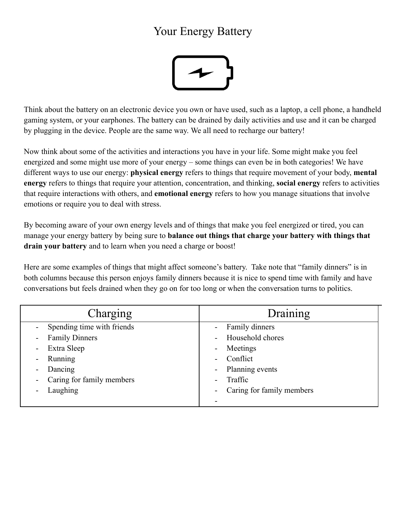## Your Energy Battery



Think about the battery on an electronic device you own or have used, such as a laptop, a cell phone, a handheld gaming system, or your earphones. The battery can be drained by daily activities and use and it can be charged by plugging in the device. People are the same way. We all need to recharge our battery!

Now think about some of the activities and interactions you have in your life. Some might make you feel energized and some might use more of your energy – some things can even be in both categories! We have different ways to use our energy: **physical energy** refers to things that require movement of your body, **mental energy** refers to things that require your attention, concentration, and thinking, **social energy** refers to activities that require interactions with others, and **emotional energy** refers to how you manage situations that involve emotions or require you to deal with stress.

By becoming aware of your own energy levels and of things that make you feel energized or tired, you can manage your energy battery by being sure to **balance out things that charge your battery with things that drain your battery** and to learn when you need a charge or boost!

Here are some examples of things that might affect someone's battery. Take note that "family dinners" is in both columns because this person enjoys family dinners because it is nice to spend time with family and have conversations but feels drained when they go on for too long or when the conversation turns to politics.

| Charging                   | Draining                     |
|----------------------------|------------------------------|
| Spending time with friends | Family dinners               |
| <b>Family Dinners</b>      | Household chores             |
| $\blacksquare$             | $\qquad \qquad \blacksquare$ |
| Extra Sleep                | Meetings                     |
| $\blacksquare$             | $\qquad \qquad \blacksquare$ |
| Running                    | Conflict                     |
| $\blacksquare$             | $\blacksquare$               |
| Dancing                    | Planning events              |
| $\overline{\phantom{a}}$   | $\overline{\phantom{a}}$     |
| Caring for family members  | Traffic                      |
| $\blacksquare$             | $\blacksquare$               |
| Laughing                   | Caring for family members    |
|                            | ۰                            |